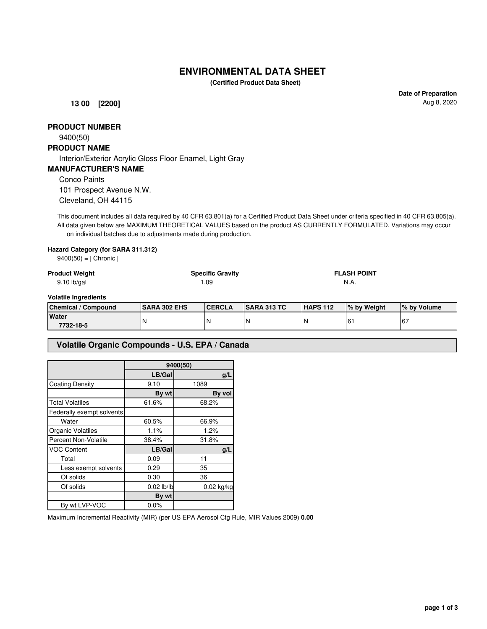# **ENVIRONMENTAL DATA SHEET**

**(Certified Product Data Sheet)**

**13 00 [2200]**

**Date of Preparation** Aug 8, 2020

## **PRODUCT NUMBER**

9400(50)

## **PRODUCT NAME**

Interior/Exterior Acrylic Gloss Floor Enamel, Light Gray

#### **MANUFACTURER'S NAME**

Conco Paints

101 Prospect Avenue N.W. Cleveland, OH 44115

This document includes all data required by 40 CFR 63.801(a) for a Certified Product Data Sheet under criteria specified in 40 CFR 63.805(a). All data given below are MAXIMUM THEORETICAL VALUES based on the product AS CURRENTLY FORMULATED. Variations may occur on individual batches due to adjustments made during production.

#### **Hazard Category (for SARA 311.312)**

| $9400(50) =  $ Chronic |  |
|------------------------|--|
|------------------------|--|

| <b>Product Weight</b>       |                     | <b>Specific Gravity</b> |                    | <b>FLASH POINT</b> |              |             |
|-----------------------------|---------------------|-------------------------|--------------------|--------------------|--------------|-------------|
| $9.10$ lb/gal               |                     | l .09                   |                    | N.A.               |              |             |
| <b>Volatile Ingredients</b> |                     |                         |                    |                    |              |             |
| <b>Chemical / Compound</b>  | <b>SARA 302 EHS</b> | <b>CERCLA</b>           | <b>SARA 313 TC</b> | <b>HAPS 112</b>    | I% by Weight | % by Volume |
| .                           |                     |                         |                    |                    |              |             |

|                    | -------------- | . | .  |    |               | .<br>.      |
|--------------------|----------------|---|----|----|---------------|-------------|
| Water<br>7732-18-5 | N              | N | 'N | n. | $\sim$<br>. ש | $\sim$<br>O |
|                    |                |   |    |    |               |             |

#### **Volatile Organic Compounds - U.S. EPA / Canada**

|                           | 9400(50)     |              |  |
|---------------------------|--------------|--------------|--|
|                           | LB/Gal       | g/L          |  |
| <b>Coating Density</b>    | 9.10         | 1089         |  |
|                           | By wt        | By vol       |  |
| <b>Total Volatiles</b>    | 61.6%        | 68.2%        |  |
| Federally exempt solvents |              |              |  |
| Water                     | 60.5%        | 66.9%        |  |
| Organic Volatiles         | 1.1%         | 1.2%         |  |
| Percent Non-Volatile      | 38.4%        | 31.8%        |  |
| <b>VOC Content</b>        | LB/Gal       | g/L          |  |
| Total                     | 0.09         | 11           |  |
| Less exempt solvents      | 0.29         | 35           |  |
| Of solids                 | 0.30         | 36           |  |
| Of solids                 | $0.02$ lb/lb | $0.02$ kg/kg |  |
|                           | By wt        |              |  |
| By wt LVP-VOC             | 0.0%         |              |  |

Maximum Incremental Reactivity (MIR) (per US EPA Aerosol Ctg Rule, MIR Values 2009) **0.00**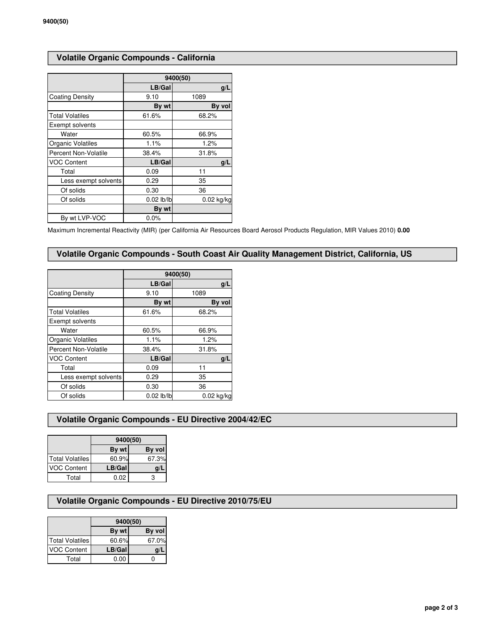# **Volatile Organic Compounds - California**

|                        | 9400(50)     |            |  |
|------------------------|--------------|------------|--|
|                        | LB/Gal       | g/L        |  |
| <b>Coating Density</b> | 9.10         | 1089       |  |
|                        | By wt        | By vol     |  |
| <b>Total Volatiles</b> | 61.6%        | 68.2%      |  |
| Exempt solvents        |              |            |  |
| Water                  | 60.5%        | 66.9%      |  |
| Organic Volatiles      | 1.1%         | 1.2%       |  |
| Percent Non-Volatile   | 38.4%        | 31.8%      |  |
| <b>VOC Content</b>     | LB/Gal       | g/L        |  |
| Total                  | 0.09         | 11         |  |
| Less exempt solvents   | 0.29         | 35         |  |
| Of solids              | 0.30         | 36         |  |
| Of solids              | $0.02$ lb/lb | 0.02 kg/kg |  |
|                        | By wt        |            |  |
| By wt LVP-VOC          | 0.0%         |            |  |

Maximum Incremental Reactivity (MIR) (per California Air Resources Board Aerosol Products Regulation, MIR Values 2010) **0.00**

### **Volatile Organic Compounds - South Coast Air Quality Management District, California, US**

|                        | 9400(50)     |              |  |
|------------------------|--------------|--------------|--|
|                        | LB/Gal       | g/L          |  |
| Coating Density        | 9.10         | 1089         |  |
|                        | By wt        | By vol       |  |
| <b>Total Volatiles</b> | 61.6%        | 68.2%        |  |
| Exempt solvents        |              |              |  |
| Water                  | 60.5%        | 66.9%        |  |
| Organic Volatiles      | 1.1%         | 1.2%         |  |
| Percent Non-Volatile   | 38.4%        | 31.8%        |  |
| <b>VOC Content</b>     | LB/Gal       | q/L          |  |
| Total                  | 0.09         | 11           |  |
| Less exempt solvents   | 0.29         | 35           |  |
| Of solids              | 0.30         | 36           |  |
| Of solids              | $0.02$ lb/lb | $0.02$ kg/kg |  |

### **Volatile Organic Compounds - EU Directive 2004/42/EC**

|                    | 9400(50) |        |  |
|--------------------|----------|--------|--|
|                    | By wt    | By vol |  |
| Total Volatiles    | 60.9%    | 67.3%  |  |
| <b>VOC Content</b> | LB/Gal   | q/     |  |
| Total              | 0.02     |        |  |

## **Volatile Organic Compounds - EU Directive 2010/75/EU**

|                    | 9400(50) |        |  |
|--------------------|----------|--------|--|
|                    | By wt    | By vol |  |
| Total Volatiles    | 60.6%    | 67.0%  |  |
| <b>VOC Content</b> | LB/Gal   | g/l    |  |
| Total              | 0.00     |        |  |